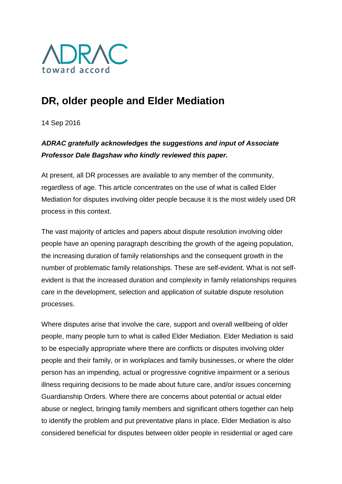

# **DR, older people and Elder Mediation**

14 Sep 2016

## *ADRAC gratefully acknowledges the suggestions and input of Associate Professor Dale Bagshaw who kindly reviewed this paper.*

At present, all DR processes are available to any member of the community, regardless of age. This article concentrates on the use of what is called Elder Mediation for disputes involving older people because it is the most widely used DR process in this context.

The vast majority of articles and papers about dispute resolution involving older people have an opening paragraph describing the growth of the ageing population, the increasing duration of family relationships and the consequent growth in the number of problematic family relationships. These are self-evident. What is not selfevident is that the increased duration and complexity in family relationships requires care in the development, selection and application of suitable dispute resolution processes.

Where disputes arise that involve the care, support and overall wellbeing of older people, many people turn to what is called Elder Mediation. Elder Mediation is said to be especially appropriate where there are conflicts or disputes involving older people and their family, or in workplaces and family businesses, or where the older person has an impending, actual or progressive cognitive impairment or a serious illness requiring decisions to be made about future care, and/or issues concerning Guardianship Orders. Where there are concerns about potential or actual elder abuse or neglect, bringing family members and significant others together can help to identify the problem and put preventative plans in place. Elder Mediation is also considered beneficial for disputes between older people in residential or aged care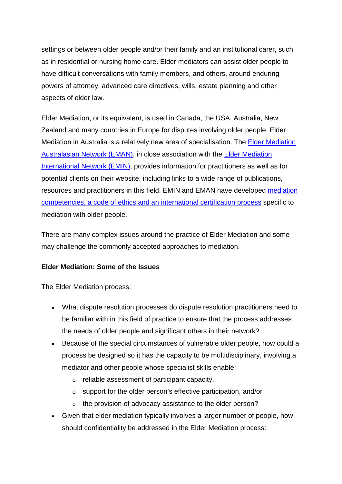settings or between older people and/or their family and an institutional carer, such as in residential or nursing home care. Elder mediators can assist older people to have difficult conversations with family members, and others, around enduring powers of attorney, advanced care directives, wills, estate planning and other aspects of elder law.

Elder Mediation, or its equivalent, is used in Canada, the USA, Australia, New Zealand and many countries in Europe for disputes involving older people. Elder Mediation in Australia is a relatively new area of specialisation. The [Elder Mediation](http://www.adrac.org.au/adr-mapping/www.elder-mediation.com.au)  [Australasian Network \(EMAN\),](http://www.adrac.org.au/adr-mapping/www.elder-mediation.com.au) in close association with the [Elder Mediation](http://elder-mediation-international.net/)  [International Network \(EMIN\),](http://elder-mediation-international.net/) provides information for practitioners as well as for potential clients on their website, including links to a wide range of publications, resources and practitioners in this field. EMIN and EMAN have developed [mediation](http://elder-mediation-international.net/code-professional-conduct/)  [competencies, a code of ethics and an international certification process](http://elder-mediation-international.net/code-professional-conduct/) specific to mediation with older people.

There are many complex issues around the practice of Elder Mediation and some may challenge the commonly accepted approaches to mediation.

#### **Elder Mediation: Some of the Issues**

The Elder Mediation process:

- What dispute resolution processes do dispute resolution practitioners need to be familiar with in this field of practice to ensure that the process addresses the needs of older people and significant others in their network?
- Because of the special circumstances of vulnerable older people, how could a process be designed so it has the capacity to be multidisciplinary, involving a mediator and other people whose specialist skills enable:
	- o reliable assessment of participant capacity,
	- o support for the older person's effective participation, and/or
	- o the provision of advocacy assistance to the older person?
- Given that elder mediation typically involves a larger number of people, how should confidentiality be addressed in the Elder Mediation process: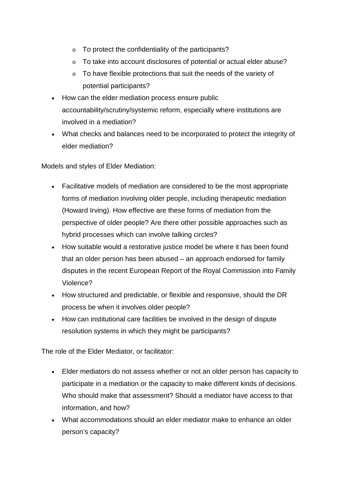- o To protect the confidentiality of the participants?
- o To take into account disclosures of potential or actual elder abuse?
- o To have flexible protections that suit the needs of the variety of potential participants?
- How can the elder mediation process ensure public accountability/scrutiny/systemic reform, especially where institutions are involved in a mediation?
- What checks and balances need to be incorporated to protect the integrity of elder mediation?

Models and styles of Elder Mediation:

- Facilitative models of mediation are considered to be the most appropriate forms of mediation involving older people, including therapeutic mediation (Howard Irving). How effective are these forms of mediation from the perspective of older people? Are there other possible approaches such as hybrid processes which can involve talking circles?
- How suitable would a restorative justice model be where it has been found that an older person has been abused – an approach endorsed for family disputes in the recent European Report of the Royal Commission into Family Violence?
- How structured and predictable, or flexible and responsive, should the DR process be when it involves older people?
- How can institutional care facilities be involved in the design of dispute resolution systems in which they might be participants?

The role of the Elder Mediator, or facilitator:

- Elder mediators do not assess whether or not an older person has capacity to participate in a mediation or the capacity to make different kinds of decisions. Who should make that assessment? Should a mediator have access to that information, and how?
- What accommodations should an elder mediator make to enhance an older person's capacity?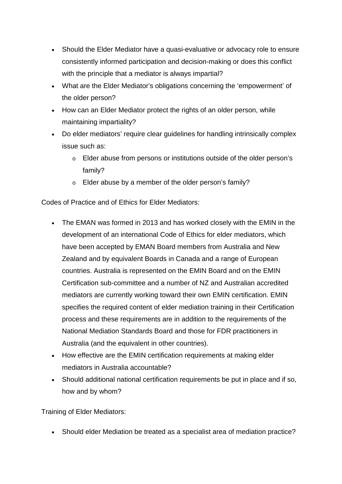- Should the Elder Mediator have a quasi-evaluative or advocacy role to ensure consistently informed participation and decision-making or does this conflict with the principle that a mediator is always impartial?
- What are the Elder Mediator's obligations concerning the 'empowerment' of the older person?
- How can an Elder Mediator protect the rights of an older person, while maintaining impartiality?
- Do elder mediators' require clear guidelines for handling intrinsically complex issue such as:
	- o Elder abuse from persons or institutions outside of the older person's family?
	- o Elder abuse by a member of the older person's family?

Codes of Practice and of Ethics for Elder Mediators:

- The EMAN was formed in 2013 and has worked closely with the EMIN in the development of an international Code of Ethics for elder mediators, which have been accepted by EMAN Board members from Australia and New Zealand and by equivalent Boards in Canada and a range of European countries. Australia is represented on the EMIN Board and on the EMIN Certification sub-committee and a number of NZ and Australian accredited mediators are currently working toward their own EMIN certification. EMIN specifies the required content of elder mediation training in their Certification process and these requirements are in addition to the requirements of the National Mediation Standards Board and those for FDR practitioners in Australia (and the equivalent in other countries).
- How effective are the EMIN certification requirements at making elder mediators in Australia accountable?
- Should additional national certification requirements be put in place and if so, how and by whom?

Training of Elder Mediators:

• Should elder Mediation be treated as a specialist area of mediation practice?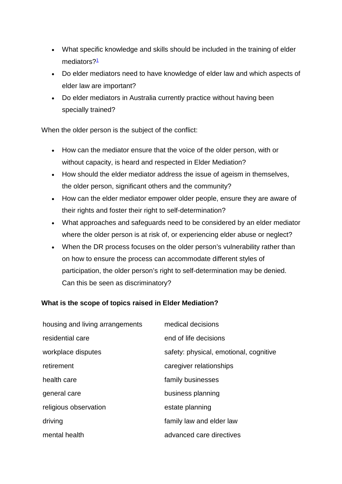- What specific knowledge and skills should be included in the training of elder mediators?<sup>1</sup>
- Do elder mediators need to have knowledge of elder law and which aspects of elder law are important?
- Do elder mediators in Australia currently practice without having been specially trained?

When the older person is the subject of the conflict:

- How can the mediator ensure that the voice of the older person, with or without capacity, is heard and respected in Elder Mediation?
- How should the elder mediator address the issue of ageism in themselves, the older person, significant others and the community?
- How can the elder mediator empower older people, ensure they are aware of their rights and foster their right to self-determination?
- What approaches and safeguards need to be considered by an elder mediator where the older person is at risk of, or experiencing elder abuse or neglect?
- When the DR process focuses on the older person's vulnerability rather than on how to ensure the process can accommodate different styles of participation, the older person's right to self-determination may be denied. Can this be seen as discriminatory?

### **What is the scope of topics raised in Elder Mediation?**

| housing and living arrangements | medical decisions                      |
|---------------------------------|----------------------------------------|
| residential care                | end of life decisions                  |
| workplace disputes              | safety: physical, emotional, cognitive |
| retirement                      | caregiver relationships                |
| health care                     | family businesses                      |
| general care                    | business planning                      |
| religious observation           | estate planning                        |
| driving                         | family law and elder law               |
| mental health                   | advanced care directives               |